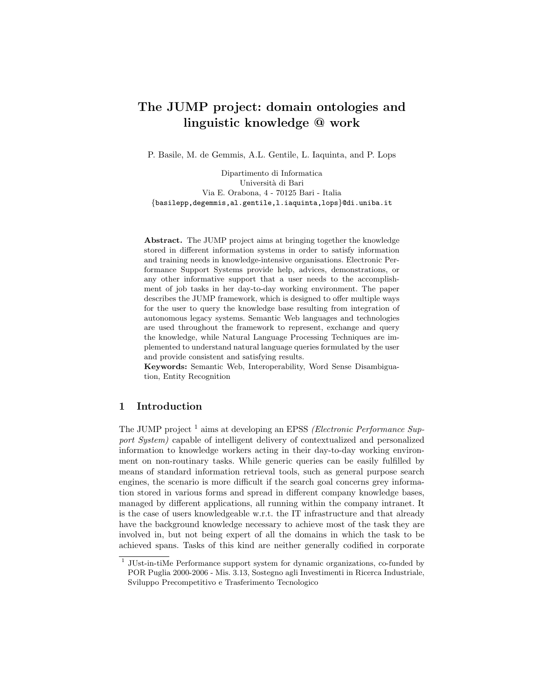# The JUMP project: domain ontologies and linguistic knowledge @ work

P. Basile, M. de Gemmis, A.L. Gentile, L. Iaquinta, and P. Lops

Dipartimento di Informatica Università di Bari Via E. Orabona, 4 - 70125 Bari - Italia {basilepp,degemmis,al.gentile,l.iaquinta,lops}@di.uniba.it

Abstract. The JUMP project aims at bringing together the knowledge stored in different information systems in order to satisfy information and training needs in knowledge-intensive organisations. Electronic Performance Support Systems provide help, advices, demonstrations, or any other informative support that a user needs to the accomplishment of job tasks in her day-to-day working environment. The paper describes the JUMP framework, which is designed to offer multiple ways for the user to query the knowledge base resulting from integration of autonomous legacy systems. Semantic Web languages and technologies are used throughout the framework to represent, exchange and query the knowledge, while Natural Language Processing Techniques are implemented to understand natural language queries formulated by the user and provide consistent and satisfying results.

Keywords: Semantic Web, Interoperability, Word Sense Disambiguation, Entity Recognition

# 1 Introduction

The JUMP project  $^1$  aims at developing an EPSS *(Electronic Performance Sup*port System) capable of intelligent delivery of contextualized and personalized information to knowledge workers acting in their day-to-day working environment on non-routinary tasks. While generic queries can be easily fulfilled by means of standard information retrieval tools, such as general purpose search engines, the scenario is more difficult if the search goal concerns grey information stored in various forms and spread in different company knowledge bases, managed by different applications, all running within the company intranet. It is the case of users knowledgeable w.r.t. the IT infrastructure and that already have the background knowledge necessary to achieve most of the task they are involved in, but not being expert of all the domains in which the task to be achieved spans. Tasks of this kind are neither generally codified in corporate

<sup>&</sup>lt;sup>1</sup> JUst-in-tiMe Performance support system for dynamic organizations, co-funded by POR Puglia 2000-2006 - Mis. 3.13, Sostegno agli Investimenti in Ricerca Industriale, Sviluppo Precompetitivo e Trasferimento Tecnologico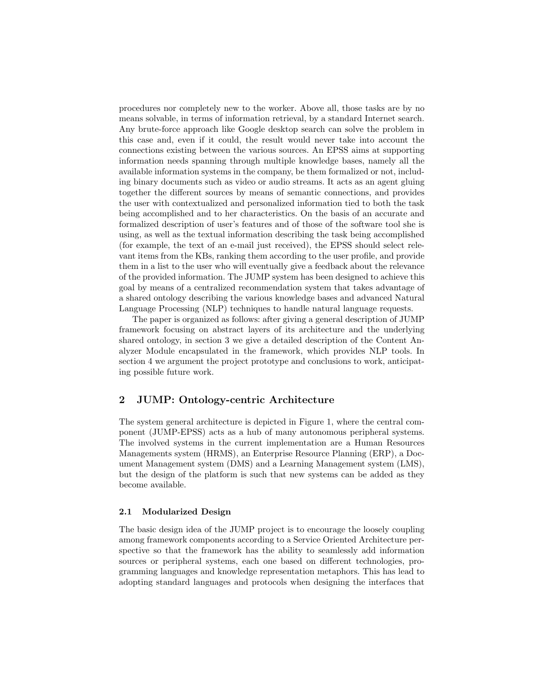procedures nor completely new to the worker. Above all, those tasks are by no means solvable, in terms of information retrieval, by a standard Internet search. Any brute-force approach like Google desktop search can solve the problem in this case and, even if it could, the result would never take into account the connections existing between the various sources. An EPSS aims at supporting information needs spanning through multiple knowledge bases, namely all the available information systems in the company, be them formalized or not, including binary documents such as video or audio streams. It acts as an agent gluing together the different sources by means of semantic connections, and provides the user with contextualized and personalized information tied to both the task being accomplished and to her characteristics. On the basis of an accurate and formalized description of user's features and of those of the software tool she is using, as well as the textual information describing the task being accomplished (for example, the text of an e-mail just received), the EPSS should select relevant items from the KBs, ranking them according to the user profile, and provide them in a list to the user who will eventually give a feedback about the relevance of the provided information. The JUMP system has been designed to achieve this goal by means of a centralized recommendation system that takes advantage of a shared ontology describing the various knowledge bases and advanced Natural Language Processing (NLP) techniques to handle natural language requests.

The paper is organized as follows: after giving a general description of JUMP framework focusing on abstract layers of its architecture and the underlying shared ontology, in section 3 we give a detailed description of the Content Analyzer Module encapsulated in the framework, which provides NLP tools. In section 4 we argument the project prototype and conclusions to work, anticipating possible future work.

# 2 JUMP: Ontology-centric Architecture

The system general architecture is depicted in Figure 1, where the central component (JUMP-EPSS) acts as a hub of many autonomous peripheral systems. The involved systems in the current implementation are a Human Resources Managements system (HRMS), an Enterprise Resource Planning (ERP), a Document Management system (DMS) and a Learning Management system (LMS), but the design of the platform is such that new systems can be added as they become available.

#### 2.1 Modularized Design

The basic design idea of the JUMP project is to encourage the loosely coupling among framework components according to a Service Oriented Architecture perspective so that the framework has the ability to seamlessly add information sources or peripheral systems, each one based on different technologies, programming languages and knowledge representation metaphors. This has lead to adopting standard languages and protocols when designing the interfaces that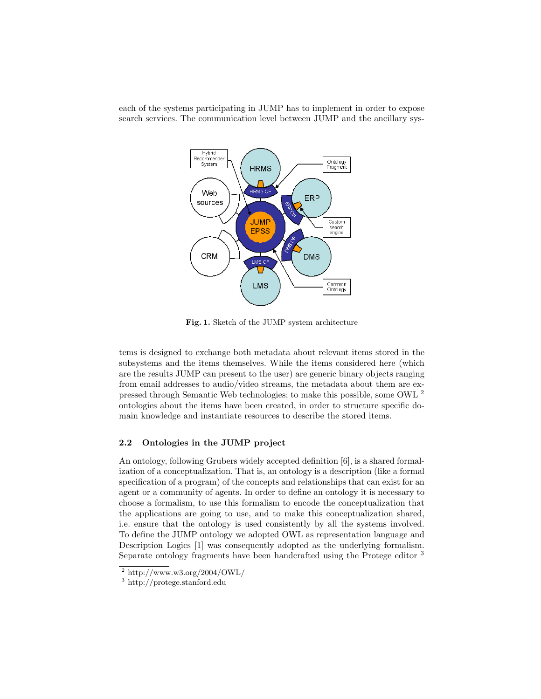each of the systems participating in JUMP has to implement in order to expose search services. The communication level between JUMP and the ancillary sys-



Fig. 1. Sketch of the JUMP system architecture

tems is designed to exchange both metadata about relevant items stored in the subsystems and the items themselves. While the items considered here (which are the results JUMP can present to the user) are generic binary objects ranging from email addresses to audio/video streams, the metadata about them are expressed through Semantic Web technologies; to make this possible, some OWL <sup>2</sup> ontologies about the items have been created, in order to structure specific domain knowledge and instantiate resources to describe the stored items.

### 2.2 Ontologies in the JUMP project

An ontology, following Grubers widely accepted definition [6], is a shared formalization of a conceptualization. That is, an ontology is a description (like a formal specification of a program) of the concepts and relationships that can exist for an agent or a community of agents. In order to define an ontology it is necessary to choose a formalism, to use this formalism to encode the conceptualization that the applications are going to use, and to make this conceptualization shared, i.e. ensure that the ontology is used consistently by all the systems involved. To define the JUMP ontology we adopted OWL as representation language and Description Logics [1] was consequently adopted as the underlying formalism. Separate ontology fragments have been handcrafted using the Protege editor <sup>3</sup>

 $^2$  http://www.w3.org/2004/OWL/

<sup>3</sup> http://protege.stanford.edu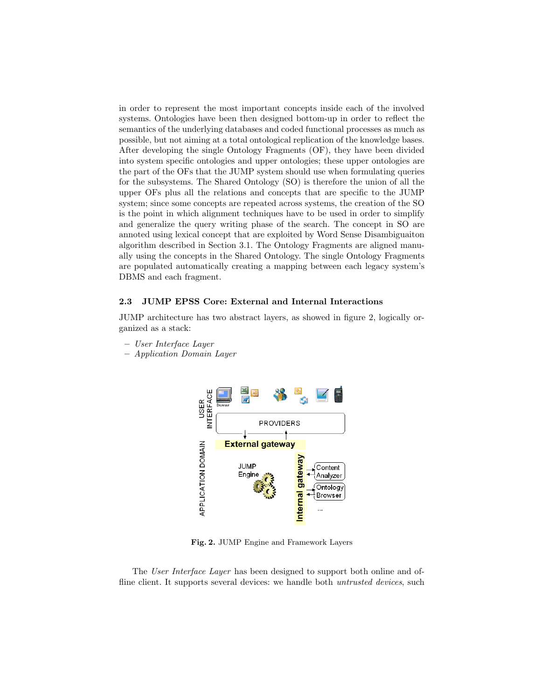in order to represent the most important concepts inside each of the involved systems. Ontologies have been then designed bottom-up in order to reflect the semantics of the underlying databases and coded functional processes as much as possible, but not aiming at a total ontological replication of the knowledge bases. After developing the single Ontology Fragments (OF), they have been divided into system specific ontologies and upper ontologies; these upper ontologies are the part of the OFs that the JUMP system should use when formulating queries for the subsystems. The Shared Ontology (SO) is therefore the union of all the upper OFs plus all the relations and concepts that are specific to the JUMP system; since some concepts are repeated across systems, the creation of the SO is the point in which alignment techniques have to be used in order to simplify and generalize the query writing phase of the search. The concept in SO are annoted using lexical concept that are exploited by Word Sense Disambiguaiton algorithm described in Section 3.1. The Ontology Fragments are aligned manually using the concepts in the Shared Ontology. The single Ontology Fragments are populated automatically creating a mapping between each legacy system's DBMS and each fragment.

#### 2.3 JUMP EPSS Core: External and Internal Interactions

JUMP architecture has two abstract layers, as showed in figure 2, logically organized as a stack:

- User Interface Layer
- Application Domain Layer



Fig. 2. JUMP Engine and Framework Layers

The User Interface Layer has been designed to support both online and offline client. It supports several devices: we handle both *untrusted devices*, such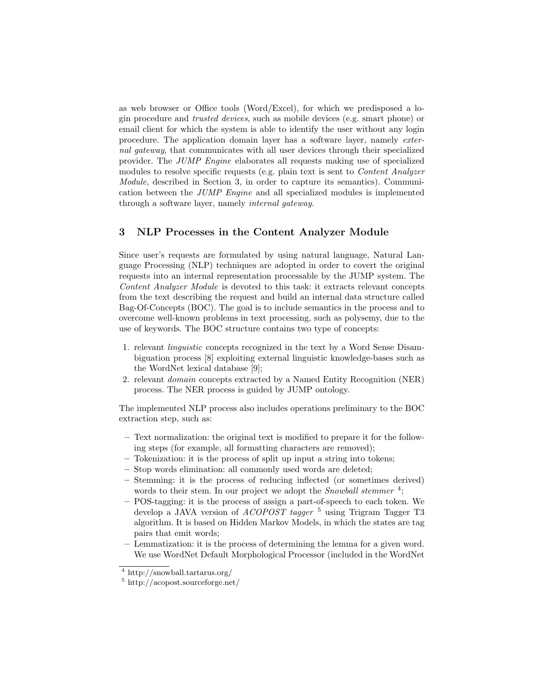as web browser or Office tools (Word/Excel), for which we predisposed a login procedure and trusted devices, such as mobile devices (e.g. smart phone) or email client for which the system is able to identify the user without any login procedure. The application domain layer has a software layer, namely external gateway, that communicates with all user devices through their specialized provider. The JUMP Engine elaborates all requests making use of specialized modules to resolve specific requests (e.g. plain text is sent to Content Analyzer Module, described in Section 3, in order to capture its semantics). Communication between the JUMP Engine and all specialized modules is implemented through a software layer, namely internal gateway.

# 3 NLP Processes in the Content Analyzer Module

Since user's requests are formulated by using natural language, Natural Language Processing (NLP) techniques are adopted in order to covert the original requests into an internal representation processable by the JUMP system. The Content Analyzer Module is devoted to this task: it extracts relevant concepts from the text describing the request and build an internal data structure called Bag-Of-Concepts (BOC). The goal is to include semantics in the process and to overcome well-known problems in text processing, such as polysemy, due to the use of keywords. The BOC structure contains two type of concepts:

- 1. relevant linguistic concepts recognized in the text by a Word Sense Disambiguation process [8] exploiting external linguistic knowledge-bases such as the WordNet lexical database [9];
- 2. relevant domain concepts extracted by a Named Entity Recognition (NER) process. The NER process is guided by JUMP ontology.

The implemented NLP process also includes operations preliminary to the BOC extraction step, such as:

- Text normalization: the original text is modified to prepare it for the following steps (for example, all formatting characters are removed);
- Tokenization: it is the process of split up input a string into tokens;
- Stop words elimination: all commonly used words are deleted;
- Stemming: it is the process of reducing inflected (or sometimes derived) words to their stem. In our project we adopt the *Snowball stemmer*<sup>4</sup>;
- POS-tagging: it is the process of assign a part-of-speech to each token. We develop a JAVA version of *ACOPOST* tagger<sup>5</sup> using Trigram Tagger T3 algorithm. It is based on Hidden Markov Models, in which the states are tag pairs that emit words;
- Lemmatization: it is the process of determining the lemma for a given word. We use WordNet Default Morphological Processor (included in the WordNet

<sup>4</sup> http://snowball.tartarus.org/

<sup>5</sup> http://acopost.sourceforge.net/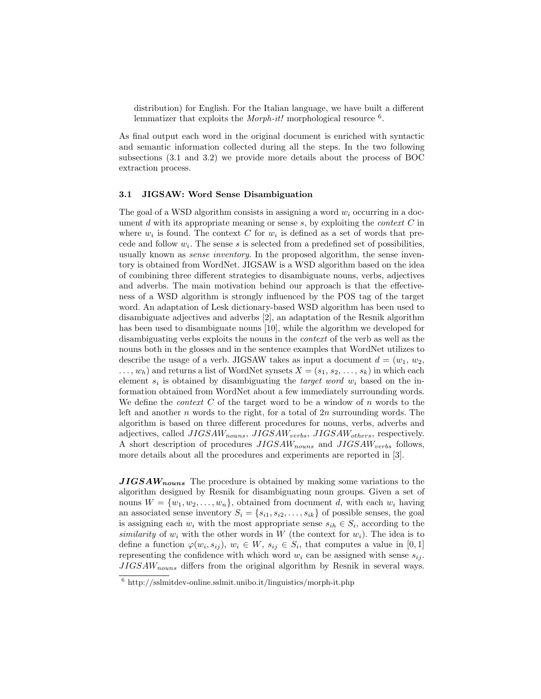distribution) for English. For the Italian language, we have built a different lemmatizer that exploits the *Morph-it!* morphological resource <sup>6</sup>.

As final output each word in the original document is enriched with syntactic and semantic information collected during all the steps. In the two following subsections (3.1 and 3.2) we provide more details about the process of BOC extraction process.

#### 3.1 JIGSAW: Word Sense Disambiguation

The goal of a WSD algorithm consists in assigning a word  $w_i$  occurring in a document  $d$  with its appropriate meaning or sense  $s$ , by exploiting the *context*  $C$  in where  $w_i$  is found. The context C for  $w_i$  is defined as a set of words that precede and follow  $w_i$ . The sense s is selected from a predefined set of possibilities, usually known as *sense inventory*. In the proposed algorithm, the sense inventory is obtained from WordNet. JIGSAW is a WSD algorithm based on the idea of combining three different strategies to disambiguate nouns, verbs, adjectives and adverbs. The main motivation behind our approach is that the effectiveness of a WSD algorithm is strongly influenced by the POS tag of the target word. An adaptation of Lesk dictionary-based WSD algorithm has been used to disambiguate adjectives and adverbs [2], an adaptation of the Resnik algorithm has been used to disambiguate nouns [10], while the algorithm we developed for disambiguating verbs exploits the nouns in the context of the verb as well as the nouns both in the glosses and in the sentence examples that WordNet utilizes to describe the usage of a verb. JIGSAW takes as input a document  $d = (w_1, w_2,$  $\dots, w_h$ ) and returns a list of WordNet synsets  $X = (s_1, s_2, \dots, s_k)$  in which each element  $s_i$  is obtained by disambiguating the *target word*  $w_i$  based on the information obtained from WordNet about a few immediately surrounding words. We define the *context*  $C$  of the target word to be a window of  $n$  words to the left and another  $n$  words to the right, for a total of  $2n$  surrounding words. The algorithm is based on three different procedures for nouns, verbs, adverbs and adjectives, called  $JIGSAW_{nouns}$ ,  $JIGSAW_{verbs}$ ,  $JIGSAW_{others}$ , respectively. A short description of procedures  $JIGSAW_{nouns}$  and  $JIGSAW_{verbs}$  follows, more details about all the procedures and experiments are reported in [3].

 $JIGSAW_{nouns}$  The procedure is obtained by making some variations to the algorithm designed by Resnik for disambiguating noun groups. Given a set of nouns  $W = \{w_1, w_2, \ldots, w_n\}$ , obtained from document d, with each  $w_i$  having an associated sense inventory  $S_i = \{s_{i1}, s_{i2}, \ldots, s_{ik}\}\$  of possible senses, the goal is assigning each  $w_i$  with the most appropriate sense  $s_{ih} \in S_i$ , according to the similarity of  $w_i$  with the other words in W (the context for  $w_i$ ). The idea is to define a function  $\varphi(w_i, s_{ij}), w_i \in W, s_{ij} \in S_i$ , that computes a value in [0, 1] representing the confidence with which word  $w_i$  can be assigned with sense  $s_{ij}$ .  $JIGSAW_{nouns}$  differs from the original algorithm by Resnik in several ways.

 $6$  http://sslmitdev-online.sslmit.unibo.it/linguistics/morph-it.php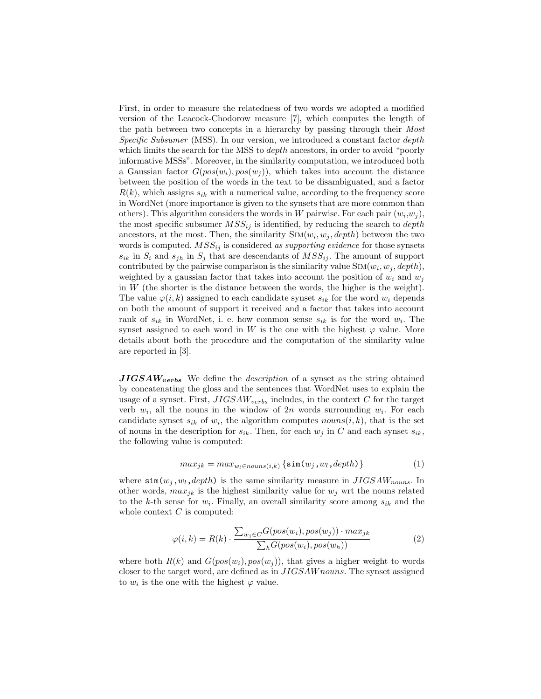First, in order to measure the relatedness of two words we adopted a modified version of the Leacock-Chodorow measure [7], which computes the length of the path between two concepts in a hierarchy by passing through their Most Specific Subsumer (MSS). In our version, we introduced a constant factor depth which limits the search for the MSS to *depth* ancestors, in order to avoid "poorly informative MSSs". Moreover, in the similarity computation, we introduced both a Gaussian factor  $G(pos(w_i), pos(w_i))$ , which takes into account the distance between the position of the words in the text to be disambiguated, and a factor  $R(k)$ , which assigns  $s_{ik}$  with a numerical value, according to the frequency score in WordNet (more importance is given to the synsets that are more common than others). This algorithm considers the words in W pairwise. For each pair  $(w_i, w_j)$ , the most specific subsumer  $MSS_{ij}$  is identified, by reducing the search to *depth* ancestors, at the most. Then, the similarity  $\text{Sim}(w_i, w_j, depth)$  between the two words is computed.  $MSS_{ij}$  is considered as supporting evidence for those synsets  $s_{ik}$  in  $S_i$  and  $s_{jh}$  in  $S_j$  that are descendants of  $MSS_{ij}$ . The amount of support contributed by the pairwise comparison is the similarity value  $\text{Sim}(w_i, w_j, depth)$ , weighted by a gaussian factor that takes into account the position of  $w_i$  and  $w_j$ in W (the shorter is the distance between the words, the higher is the weight). The value  $\varphi(i, k)$  assigned to each candidate synset  $s_{ik}$  for the word  $w_i$  depends on both the amount of support it received and a factor that takes into account rank of  $s_{ik}$  in WordNet, i. e. how common sense  $s_{ik}$  is for the word  $w_i$ . The synset assigned to each word in W is the one with the highest  $\varphi$  value. More details about both the procedure and the computation of the similarity value are reported in [3].

 $JIGSAW_{verbs}$  We define the *description* of a synset as the string obtained by concatenating the gloss and the sentences that WordNet uses to explain the usage of a synset. First,  $JIGSAW_{verbs}$  includes, in the context C for the target verb  $w_i$ , all the nouns in the window of  $2n$  words surrounding  $w_i$ . For each candidate synset  $s_{ik}$  of  $w_i$ , the algorithm computes  $nouns(i,k)$ , that is the set of nouns in the description for  $s_{ik}$ . Then, for each  $w_j$  in C and each synset  $s_{ik}$ , the following value is computed:

$$
max_{jk} = max_{w_l \in nouns(i,k)} \{ \sin(w_j, w_l, depth) \}
$$
 (1)

where  $\sin(w_i, w_l, depth)$  is the same similarity measure in  $JIGSAW_{nouns}$ . In other words,  $max_{ik}$  is the highest similarity value for  $w_i$  wrt the nouns related to the k-th sense for  $w_i$ . Finally, an overall similarity score among  $s_{ik}$  and the whole context  $C$  is computed:

$$
\varphi(i,k) = R(k) \cdot \frac{\sum_{w_j \in C} G(pos(w_i), pos(w_j)) \cdot max_{jk}}{\sum_{h} G(pos(w_i), pos(w_h))}
$$
(2)

where both  $R(k)$  and  $G(pos(w_i), pos(w_i))$ , that gives a higher weight to words closer to the target word, are defined as in JIGSAW nouns. The synset assigned to  $w_i$  is the one with the highest  $\varphi$  value.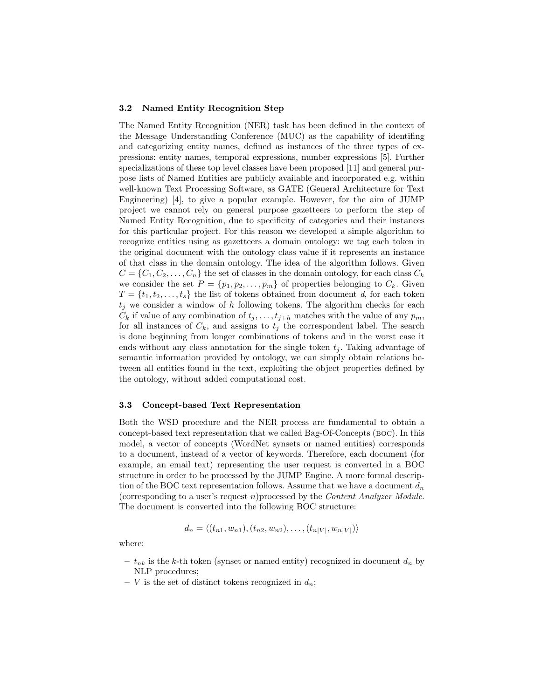#### 3.2 Named Entity Recognition Step

The Named Entity Recognition (NER) task has been defined in the context of the Message Understanding Conference (MUC) as the capability of identifing and categorizing entity names, defined as instances of the three types of expressions: entity names, temporal expressions, number expressions [5]. Further specializations of these top level classes have been proposed [11] and general purpose lists of Named Entities are publicly available and incorporated e.g. within well-known Text Processing Software, as GATE (General Architecture for Text Engineering) [4], to give a popular example. However, for the aim of JUMP project we cannot rely on general purpose gazetteers to perform the step of Named Entity Recognition, due to specificity of categories and their instances for this particular project. For this reason we developed a simple algorithm to recognize entities using as gazetteers a domain ontology: we tag each token in the original document with the ontology class value if it represents an instance of that class in the domain ontology. The idea of the algorithm follows. Given  $C = \{C_1, C_2, \ldots, C_n\}$  the set of classes in the domain ontology, for each class  $C_k$ we consider the set  $P = \{p_1, p_2, \ldots, p_m\}$  of properties belonging to  $C_k$ . Given  $T = \{t_1, t_2, \ldots, t_s\}$  the list of tokens obtained from document d, for each token  $t_j$  we consider a window of h following tokens. The algorithm checks for each  $C_k$  if value of any combination of  $t_j, \ldots, t_{j+h}$  matches with the value of any  $p_m$ , for all instances of  $C_k$ , and assigns to  $t_j$  the correspondent label. The search is done beginning from longer combinations of tokens and in the worst case it ends without any class annotation for the single token  $t_i$ . Taking advantage of semantic information provided by ontology, we can simply obtain relations between all entities found in the text, exploiting the object properties defined by the ontology, without added computational cost.

#### 3.3 Concept-based Text Representation

Both the WSD procedure and the NER process are fundamental to obtain a concept-based text representation that we called Bag-Of-Concepts (BOC). In this model, a vector of concepts (WordNet synsets or named entities) corresponds to a document, instead of a vector of keywords. Therefore, each document (for example, an email text) representing the user request is converted in a BOC structure in order to be processed by the JUMP Engine. A more formal description of the BOC text representation follows. Assume that we have a document  $d_n$ (corresponding to a user's request n)processed by the Content Analyzer Module. The document is converted into the following BOC structure:

$$
d_n = \langle (t_{n1}, w_{n1}), (t_{n2}, w_{n2}), \dots, (t_{n|V|}, w_{n|V|}) \rangle
$$

where:

- $t_{nk}$  is the k-th token (synset or named entity) recognized in document  $d_n$  by NLP procedures;
- V is the set of distinct tokens recognized in  $d_n$ ;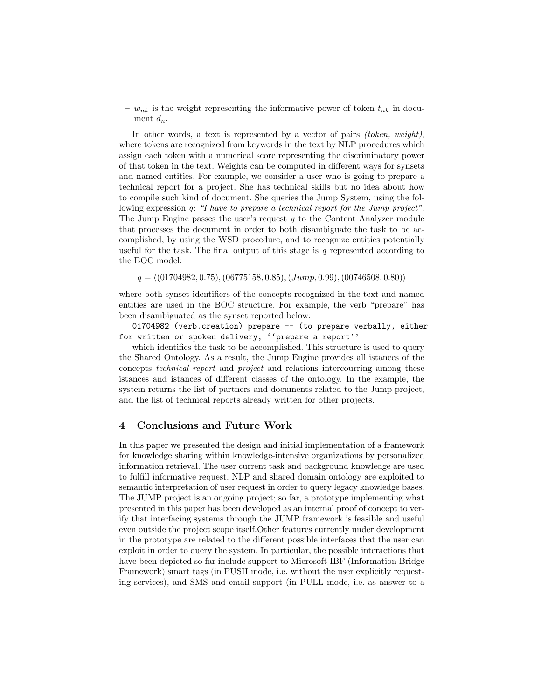–  $w_{nk}$  is the weight representing the informative power of token  $t_{nk}$  in document  $d_n$ .

In other words, a text is represented by a vector of pairs *(token, weight)*, where tokens are recognized from keywords in the text by NLP procedures which assign each token with a numerical score representing the discriminatory power of that token in the text. Weights can be computed in different ways for synsets and named entities. For example, we consider a user who is going to prepare a technical report for a project. She has technical skills but no idea about how to compile such kind of document. She queries the Jump System, using the following expression q: "I have to prepare a technical report for the Jump project". The Jump Engine passes the user's request  $q$  to the Content Analyzer module that processes the document in order to both disambiguate the task to be accomplished, by using the WSD procedure, and to recognize entities potentially useful for the task. The final output of this stage is  $q$  represented according to the BOC model:

 $q = \langle (01704982, 0.75), (06775158, 0.85), (Jump, 0.99), (00746508, 0.80) \rangle$ 

where both synset identifiers of the concepts recognized in the text and named entities are used in the BOC structure. For example, the verb "prepare" has been disambiguated as the synset reported below:

01704982 (verb.creation) prepare -- (to prepare verbally, either for written or spoken delivery; ''prepare a report''

which identifies the task to be accomplished. This structure is used to query the Shared Ontology. As a result, the Jump Engine provides all istances of the concepts technical report and project and relations intercourring among these istances and istances of different classes of the ontology. In the example, the system returns the list of partners and documents related to the Jump project, and the list of technical reports already written for other projects.

## 4 Conclusions and Future Work

In this paper we presented the design and initial implementation of a framework for knowledge sharing within knowledge-intensive organizations by personalized information retrieval. The user current task and background knowledge are used to fulfill informative request. NLP and shared domain ontology are exploited to semantic interpretation of user request in order to query legacy knowledge bases. The JUMP project is an ongoing project; so far, a prototype implementing what presented in this paper has been developed as an internal proof of concept to verify that interfacing systems through the JUMP framework is feasible and useful even outside the project scope itself.Other features currently under development in the prototype are related to the different possible interfaces that the user can exploit in order to query the system. In particular, the possible interactions that have been depicted so far include support to Microsoft IBF (Information Bridge Framework) smart tags (in PUSH mode, i.e. without the user explicitly requesting services), and SMS and email support (in PULL mode, i.e. as answer to a